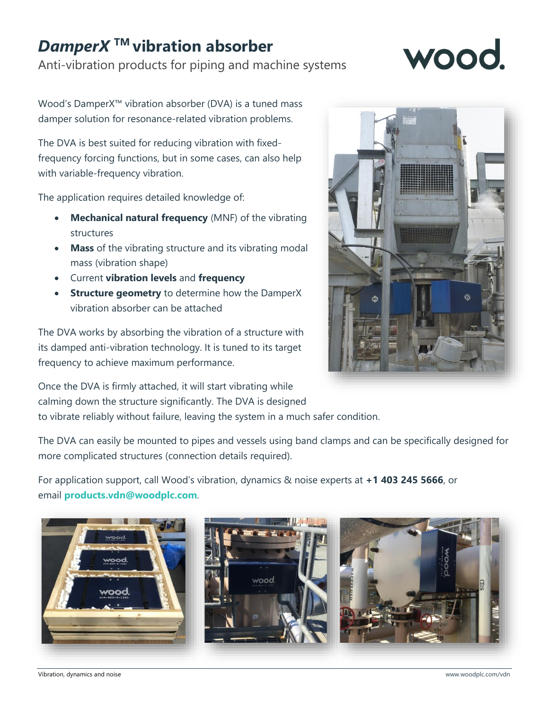## *DamperX* **TM vibration absorber**

Anti-vibration products for piping and machine systems

## WOOO

Wood's DamperX™ vibration absorber (DVA) is a tuned mass damper solution for resonance-related vibration problems.

The DVA is best suited for reducing vibration with fixedfrequency forcing functions, but in some cases, can also help with variable-frequency vibration.

The application requires detailed knowledge of:

- **Mechanical natural frequency** (MNF) of the vibrating structures
- **Mass** of the vibrating structure and its vibrating modal mass (vibration shape)
- Current **vibration levels** and **frequency**
- **Structure geometry** to determine how the DamperX vibration absorber can be attached

The DVA works by absorbing the vibration of a structure with its damped anti-vibration technology. It is tuned to its target frequency to achieve maximum performance.



Once the DVA is firmly attached, it will start vibrating while calming down the structure significantly. The DVA is designed to vibrate reliably without failure, leaving the system in a much safer condition.

The DVA can easily be mounted to pipes and vessels using band clamps and can be specifically designed for more complicated structures (connection details required).

For application support, call Wood's vibration, dynamics & noise experts at **+1 403 245 5666**, or email **[products.vdn@woodplc.com](mailto:products.vdn@woodplc.com?subject=DamperXbrace%20request)**.



Vibration, dynamics and noise [www.woodplc.com/vdn](http://www.woodplc.com/vdn)